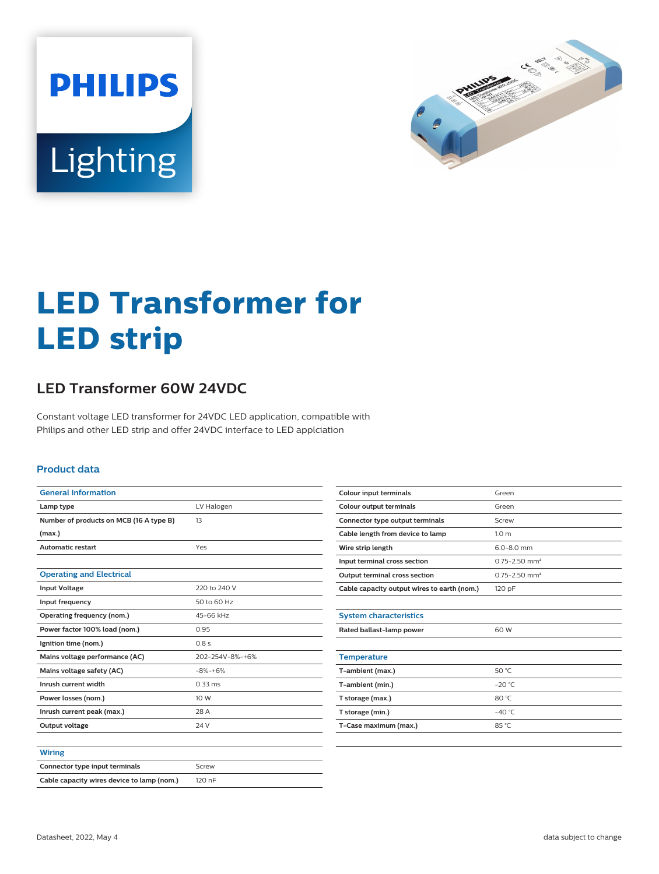



# **LED Transformer for LED strip**

## **LED Transformer 60W 24VDC**

Constant voltage LED transformer for 24VDC LED application, compatible with Philips and other LED strip and offer 24VDC interface to LED applciation

#### **Product data**

| <b>General Information</b>                 |                 |  |  |
|--------------------------------------------|-----------------|--|--|
| Lamp type                                  | LV Halogen      |  |  |
| Number of products on MCB (16 A type B)    | 13              |  |  |
| (max.)                                     |                 |  |  |
| <b>Automatic restart</b>                   | Yes             |  |  |
|                                            |                 |  |  |
| <b>Operating and Electrical</b>            |                 |  |  |
| <b>Input Voltage</b>                       | 220 to 240 V    |  |  |
| Input frequency                            | 50 to 60 Hz     |  |  |
| Operating frequency (nom.)                 | 45-66 kHz       |  |  |
| Power factor 100% load (nom.)              | 0.95            |  |  |
| Ignition time (nom.)                       | 0.8s            |  |  |
| Mains voltage performance (AC)             | 202-254V-8%-+6% |  |  |
| Mains voltage safety (AC)                  | $-8% + 6%$      |  |  |
| Inrush current width                       | $0.33$ ms       |  |  |
| Power losses (nom.)                        | 10 W            |  |  |
| Inrush current peak (max.)                 | 28 A            |  |  |
| Output voltage                             | 24 V            |  |  |
|                                            |                 |  |  |
| <b>Wiring</b>                              |                 |  |  |
| Connector type input terminals             | Screw           |  |  |
| Cable capacity wires device to lamp (nom.) | 120 nF          |  |  |

| <b>Colour input terminals</b>               | Green                         |  |  |  |
|---------------------------------------------|-------------------------------|--|--|--|
| Colour output terminals                     | Green                         |  |  |  |
| Connector type output terminals             | Screw                         |  |  |  |
| Cable length from device to lamp            | 1.0 <sub>m</sub>              |  |  |  |
| Wire strip length                           | $6.0 - 8.0$ mm                |  |  |  |
| Input terminal cross section                | $0.75 - 2.50$ mm <sup>2</sup> |  |  |  |
| Output terminal cross section               | $0.75 - 2.50$ mm <sup>2</sup> |  |  |  |
| Cable capacity output wires to earth (nom.) | 120 pF                        |  |  |  |
|                                             |                               |  |  |  |
| <b>System characteristics</b>               |                               |  |  |  |
| Rated ballast-lamp power                    | 60 W                          |  |  |  |
|                                             |                               |  |  |  |
| <b>Temperature</b>                          |                               |  |  |  |
| T-ambient (max.)                            | 50 °C                         |  |  |  |
| T-ambient (min.)                            | $-20 °C$                      |  |  |  |
| T storage (max.)                            | 80 °C                         |  |  |  |
| T storage (min.)                            | $-40^{\circ}$ C               |  |  |  |
| T-Case maximum (max.)                       | 85 °C                         |  |  |  |
|                                             |                               |  |  |  |